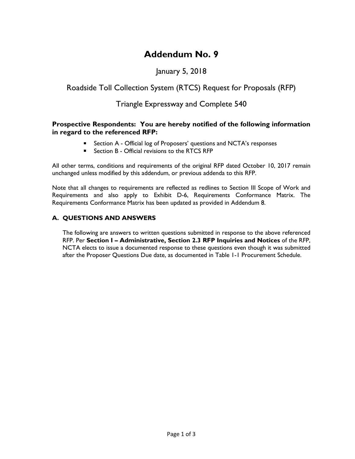# **Addendum No. 9**

## January 5, 2018

### Roadside Toll Collection System (RTCS) Request for Proposals (RFP)

### Triangle Expressway and Complete 540

#### **Prospective Respondents: You are hereby notified of the following information in regard to the referenced RFP:**

- **E** Section A Official log of Proposers' questions and NCTA's responses
- Section B Official revisions to the RTCS RFP

All other terms, conditions and requirements of the original RFP dated October 10, 2017 remain unchanged unless modified by this addendum, or previous addenda to this RFP.

Note that all changes to requirements are reflected as redlines to Section III Scope of Work and Requirements and also apply to Exhibit D-6, Requirements Conformance Matrix. The Requirements Conformance Matrix has been updated as provided in Addendum 8.

### **A. QUESTIONS AND ANSWERS**

The following are answers to written questions submitted in response to the above referenced RFP. Per **Section I – Administrative, Section 2.3 RFP Inquiries and Notices** of the RFP, NCTA elects to issue a documented response to these questions even though it was submitted after the Proposer Questions Due date, as documented in Table 1-1 Procurement Schedule.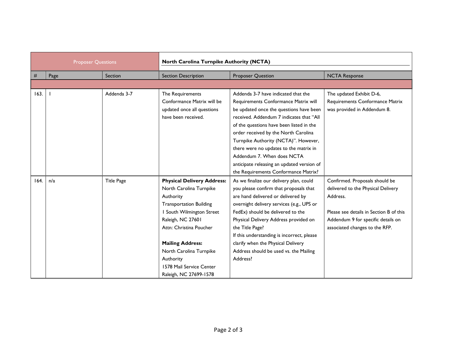| <b>Proposer Questions</b> |      |                   | North Carolina Turnpike Authority (NCTA)                                                                                                                                                 |                                                                                                                                                                                                                                                                                                |                                                                                                                                                                                                     |
|---------------------------|------|-------------------|------------------------------------------------------------------------------------------------------------------------------------------------------------------------------------------|------------------------------------------------------------------------------------------------------------------------------------------------------------------------------------------------------------------------------------------------------------------------------------------------|-----------------------------------------------------------------------------------------------------------------------------------------------------------------------------------------------------|
| #                         | Page | Section           | <b>Section Description</b>                                                                                                                                                               | <b>Proposer Question</b>                                                                                                                                                                                                                                                                       | <b>NCTA Response</b>                                                                                                                                                                                |
|                           |      |                   |                                                                                                                                                                                          |                                                                                                                                                                                                                                                                                                |                                                                                                                                                                                                     |
| 163.                      |      | Addenda 3-7       | The Requirements<br>Conformance Matrix will be<br>updated once all questions<br>have been received.                                                                                      | Addenda 3-7 have indicated that the<br>Requirements Conformance Matrix will<br>be updated once the questions have been<br>received. Addendum 7 indicates that "All<br>of the questions have been listed in the<br>order received by the North Carolina<br>Turnpike Authority (NCTA)". However, | The updated Exhibit D-6,<br>Requirements Conformance Matrix<br>was provided in Addendum 8.                                                                                                          |
|                           |      |                   |                                                                                                                                                                                          | there were no updates to the matrix in<br>Addendum 7. When does NCTA<br>anticipate releasing an updated version of<br>the Requirements Conformance Matrix?                                                                                                                                     |                                                                                                                                                                                                     |
| 164.                      | n/a  | <b>Title Page</b> | <b>Physical Delivery Address:</b><br>North Carolina Turnpike<br>Authority<br><b>Transportation Building</b><br>I South Wilmington Street<br>Raleigh, NC 27601<br>Attn: Christina Poucher | As we finalize our delivery plan, could<br>you please confirm that proposals that<br>are hand delivered or delivered by<br>overnight delivery services (e.g., UPS or<br>FedEx) should be delivered to the<br>Physical Delivery Address provided on<br>the Title Page?                          | Confirmed. Proposals should be<br>delivered to the Physical Delivery<br>Address.<br>Please see details in Section B of this<br>Addendum 9 for specific details on<br>associated changes to the RFP. |
|                           |      |                   | <b>Mailing Address:</b><br>North Carolina Turnpike<br>Authority<br>1578 Mail Service Center<br>Raleigh, NC 27699-1578                                                                    | If this understanding is incorrect, please<br>clarify when the Physical Delivery<br>Address should be used vs. the Mailing<br>Address?                                                                                                                                                         |                                                                                                                                                                                                     |